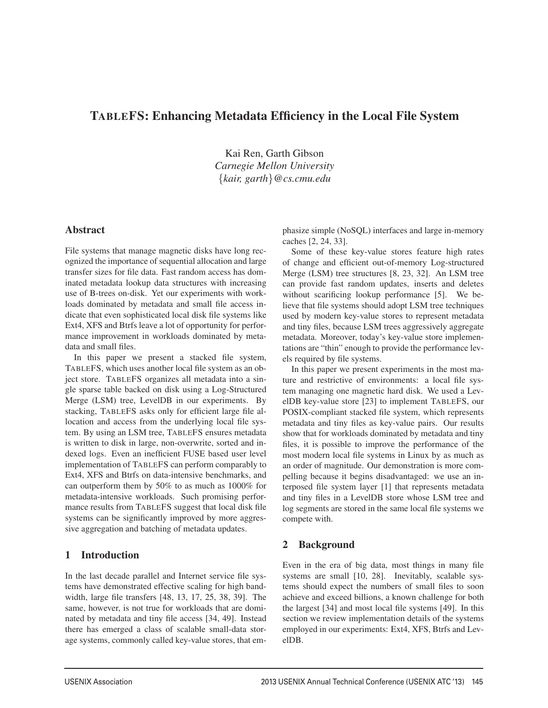# TABLEFS: Enhancing Metadata Efficiency in the Local File System

Kai Ren, Garth Gibson *Carnegie Mellon University* {*kair, garth*}*@cs.cmu.edu*

# Abstract

File systems that manage magnetic disks have long recognized the importance of sequential allocation and large transfer sizes for file data. Fast random access has dominated metadata lookup data structures with increasing use of B-trees on-disk. Yet our experiments with workloads dominated by metadata and small file access indicate that even sophisticated local disk file systems like Ext4, XFS and Btrfs leave a lot of opportunity for performance improvement in workloads dominated by metadata and small files.

In this paper we present a stacked file system, TABLEFS, which uses another local file system as an object store. TABLEFS organizes all metadata into a single sparse table backed on disk using a Log-Structured Merge (LSM) tree, LevelDB in our experiments. By stacking, TABLEFS asks only for efficient large file allocation and access from the underlying local file system. By using an LSM tree, TABLEFS ensures metadata is written to disk in large, non-overwrite, sorted and indexed logs. Even an inefficient FUSE based user level implementation of TABLEFS can perform comparably to Ext4, XFS and Btrfs on data-intensive benchmarks, and can outperform them by 50% to as much as 1000% for metadata-intensive workloads. Such promising performance results from TABLEFS suggest that local disk file systems can be significantly improved by more aggressive aggregation and batching of metadata updates.

# 1 Introduction

In the last decade parallel and Internet service file systems have demonstrated effective scaling for high bandwidth, large file transfers [48, 13, 17, 25, 38, 39]. The same, however, is not true for workloads that are dominated by metadata and tiny file access [34, 49]. Instead there has emerged a class of scalable small-data storage systems, commonly called key-value stores, that emphasize simple (NoSQL) interfaces and large in-memory caches [2, 24, 33].

Some of these key-value stores feature high rates of change and efficient out-of-memory Log-structured Merge (LSM) tree structures [8, 23, 32]. An LSM tree can provide fast random updates, inserts and deletes without scarificing lookup performance [5]. We believe that file systems should adopt LSM tree techniques used by modern key-value stores to represent metadata and tiny files, because LSM trees aggressively aggregate metadata. Moreover, today's key-value store implementations are "thin" enough to provide the performance levels required by file systems.

In this paper we present experiments in the most mature and restrictive of environments: a local file system managing one magnetic hard disk. We used a LevelDB key-value store [23] to implement TABLEFS, our POSIX-compliant stacked file system, which represents metadata and tiny files as key-value pairs. Our results show that for workloads dominated by metadata and tiny files, it is possible to improve the performance of the most modern local file systems in Linux by as much as an order of magnitude. Our demonstration is more compelling because it begins disadvantaged: we use an interposed file system layer [1] that represents metadata and tiny files in a LevelDB store whose LSM tree and log segments are stored in the same local file systems we compete with.

# 2 Background

<u>.</u>

Even in the era of big data, most things in many file systems are small [10, 28]. Inevitably, scalable systems should expect the numbers of small files to soon achieve and exceed billions, a known challenge for both the largest [34] and most local file systems [49]. In this section we review implementation details of the systems employed in our experiments: Ext4, XFS, Btrfs and LevelDB.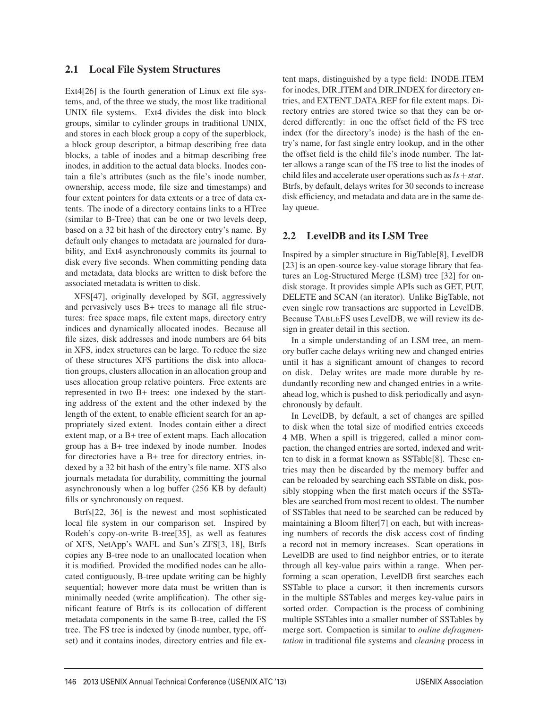# 2.1 Local File System Structures

Ext4[26] is the fourth generation of Linux ext file systems, and, of the three we study, the most like traditional UNIX file systems. Ext4 divides the disk into block groups, similar to cylinder groups in traditional UNIX, and stores in each block group a copy of the superblock, a block group descriptor, a bitmap describing free data blocks, a table of inodes and a bitmap describing free inodes, in addition to the actual data blocks. Inodes contain a file's attributes (such as the file's inode number, ownership, access mode, file size and timestamps) and four extent pointers for data extents or a tree of data extents. The inode of a directory contains links to a HTree (similar to B-Tree) that can be one or two levels deep, based on a 32 bit hash of the directory entry's name. By default only changes to metadata are journaled for durability, and Ext4 asynchronously commits its journal to disk every five seconds. When committing pending data and metadata, data blocks are written to disk before the associated metadata is written to disk.

XFS[47], originally developed by SGI, aggressively and pervasively uses B+ trees to manage all file structures: free space maps, file extent maps, directory entry indices and dynamically allocated inodes. Because all file sizes, disk addresses and inode numbers are 64 bits in XFS, index structures can be large. To reduce the size of these structures XFS partitions the disk into allocation groups, clusters allocation in an allocation group and uses allocation group relative pointers. Free extents are represented in two B+ trees: one indexed by the starting address of the extent and the other indexed by the length of the extent, to enable efficient search for an appropriately sized extent. Inodes contain either a direct extent map, or a B+ tree of extent maps. Each allocation group has a B+ tree indexed by inode number. Inodes for directories have a B+ tree for directory entries, indexed by a 32 bit hash of the entry's file name. XFS also journals metadata for durability, committing the journal asynchronously when a log buffer (256 KB by default) fills or synchronously on request.

Btrfs[22, 36] is the newest and most sophisticated local file system in our comparison set. Inspired by Rodeh's copy-on-write B-tree[35], as well as features of XFS, NetApp's WAFL and Sun's ZFS[3, 18], Btrfs copies any B-tree node to an unallocated location when it is modified. Provided the modified nodes can be allocated contiguously, B-tree update writing can be highly sequential; however more data must be written than is minimally needed (write amplification). The other significant feature of Btrfs is its collocation of different metadata components in the same B-tree, called the FS tree. The FS tree is indexed by (inode number, type, offset) and it contains inodes, directory entries and file extent maps, distinguished by a type field: INODE ITEM for inodes, DIR ITEM and DIR INDEX for directory entries, and EXTENT DATA REF for file extent maps. Directory entries are stored twice so that they can be ordered differently: in one the offset field of the FS tree index (for the directory's inode) is the hash of the entry's name, for fast single entry lookup, and in the other the offset field is the child file's inode number. The latter allows a range scan of the FS tree to list the inodes of child files and accelerate user operations such as*ls*+*stat*. Btrfs, by default, delays writes for 30 seconds to increase disk efficiency, and metadata and data are in the same delay queue.

# 2.2 LevelDB and its LSM Tree

Inspired by a simpler structure in BigTable[8], LevelDB [23] is an open-source key-value storage library that features an Log-Structured Merge (LSM) tree [32] for ondisk storage. It provides simple APIs such as GET, PUT, DELETE and SCAN (an iterator). Unlike BigTable, not even single row transactions are supported in LevelDB. Because TABLEFS uses LevelDB, we will review its design in greater detail in this section.

In a simple understanding of an LSM tree, an memory buffer cache delays writing new and changed entries until it has a significant amount of changes to record on disk. Delay writes are made more durable by redundantly recording new and changed entries in a writeahead log, which is pushed to disk periodically and asynchronously by default.

In LevelDB, by default, a set of changes are spilled to disk when the total size of modified entries exceeds 4 MB. When a spill is triggered, called a minor compaction, the changed entries are sorted, indexed and written to disk in a format known as SSTable[8]. These entries may then be discarded by the memory buffer and can be reloaded by searching each SSTable on disk, possibly stopping when the first match occurs if the SSTables are searched from most recent to oldest. The number of SSTables that need to be searched can be reduced by maintaining a Bloom filter[7] on each, but with increasing numbers of records the disk access cost of finding a record not in memory increases. Scan operations in LevelDB are used to find neighbor entries, or to iterate through all key-value pairs within a range. When performing a scan operation, LevelDB first searches each SSTable to place a cursor; it then increments cursors in the multiple SSTables and merges key-value pairs in sorted order. Compaction is the process of combining multiple SSTables into a smaller number of SSTables by merge sort. Compaction is similar to *online defragmentation* in traditional file systems and *cleaning* process in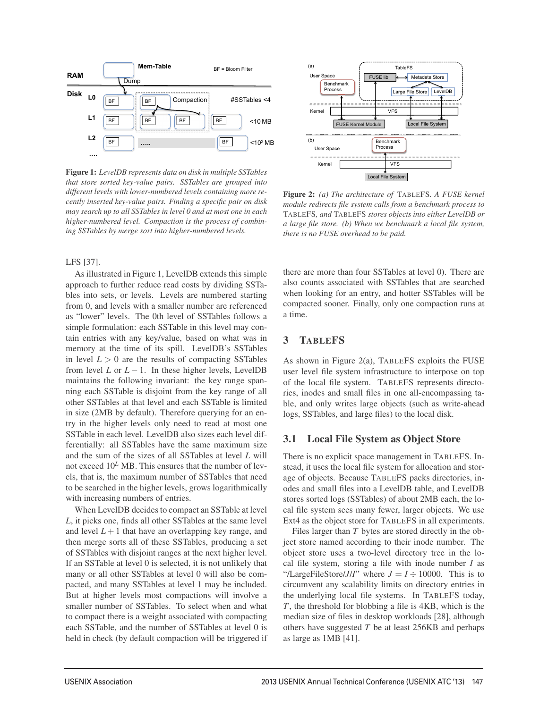

Figure 1: *LevelDB represents data on disk in multiple SSTables that store sorted key-value pairs. SSTables are grouped into different levels with lower-numbered levels containing more recently inserted key-value pairs. Finding a specific pair on disk may search up to all SSTables in level 0 and at most one in each higher-numbered level. Compaction is the process of combining SSTables by merge sort into higher-numbered levels.*

#### LFS [37].

As illustrated in Figure 1, LevelDB extends this simple approach to further reduce read costs by dividing SSTables into sets, or levels. Levels are numbered starting from 0, and levels with a smaller number are referenced as "lower" levels. The 0th level of SSTables follows a simple formulation: each SSTable in this level may contain entries with any key/value, based on what was in memory at the time of its spill. LevelDB's SSTables in level  $L > 0$  are the results of compacting SSTables from level *L* or  $L - 1$ . In these higher levels, LevelDB maintains the following invariant: the key range spanning each SSTable is disjoint from the key range of all other SSTables at that level and each SSTable is limited in size (2MB by default). Therefore querying for an entry in the higher levels only need to read at most one SSTable in each level. LevelDB also sizes each level differentially: all SSTables have the same maximum size and the sum of the sizes of all SSTables at level *L* will not exceed  $10^L$  MB. This ensures that the number of levels, that is, the maximum number of SSTables that need to be searched in the higher levels, grows logarithmically with increasing numbers of entries.

When LevelDB decides to compact an SSTable at level *L*, it picks one, finds all other SSTables at the same level and level  $L+1$  that have an overlapping key range, and then merge sorts all of these SSTables, producing a set of SSTables with disjoint ranges at the next higher level. If an SSTable at level 0 is selected, it is not unlikely that many or all other SSTables at level 0 will also be compacted, and many SSTables at level 1 may be included. But at higher levels most compactions will involve a smaller number of SSTables. To select when and what to compact there is a weight associated with compacting each SSTable, and the number of SSTables at level 0 is held in check (by default compaction will be triggered if



Figure 2: *(a) The architecture of* TABLEFS*. A FUSE kernel module redirects file system calls from a benchmark process to* TABLEFS*, and* TABLEFS *stores objects into either LevelDB or a large file store. (b) When we benchmark a local file system, there is no FUSE overhead to be paid.*

there are more than four SSTables at level 0). There are also counts associated with SSTables that are searched when looking for an entry, and hotter SSTables will be compacted sooner. Finally, only one compaction runs at a time.

### 3 TABLEFS

As shown in Figure 2(a), TABLEFS exploits the FUSE user level file system infrastructure to interpose on top of the local file system. TABLEFS represents directories, inodes and small files in one all-encompassing table, and only writes large objects (such as write-ahead logs, SSTables, and large files) to the local disk.

#### 3.1 Local File System as Object Store

There is no explicit space management in TABLEFS. Instead, it uses the local file system for allocation and storage of objects. Because TABLEFS packs directories, inodes and small files into a LevelDB table, and LevelDB stores sorted logs (SSTables) of about 2MB each, the local file system sees many fewer, larger objects. We use Ext4 as the object store for TABLEFS in all experiments.

Files larger than *T* bytes are stored directly in the object store named according to their inode number. The object store uses a two-level directory tree in the local file system, storing a file with inode number *I* as "/LargeFileStore/*J*/*I*" where  $J = I \div 10000$ . This is to circumvent any scalability limits on directory entries in the underlying local file systems. In TABLEFS today, *T*, the threshold for blobbing a file is 4KB, which is the median size of files in desktop workloads [28], although others have suggested *T* be at least 256KB and perhaps as large as 1MB [41].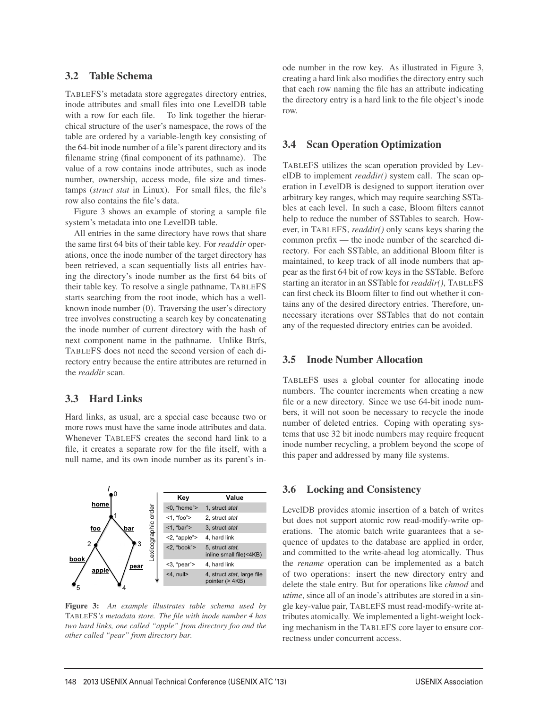# 3.2 Table Schema

TABLEFS's metadata store aggregates directory entries, inode attributes and small files into one LevelDB table with a row for each file. To link together the hierarchical structure of the user's namespace, the rows of the table are ordered by a variable-length key consisting of the 64-bit inode number of a file's parent directory and its filename string (final component of its pathname). The value of a row contains inode attributes, such as inode number, ownership, access mode, file size and timestamps (*struct stat* in Linux). For small files, the file's row also contains the file's data.

Figure 3 shows an example of storing a sample file system's metadata into one LevelDB table.

All entries in the same directory have rows that share the same first 64 bits of their table key. For *readdir* operations, once the inode number of the target directory has been retrieved, a scan sequentially lists all entries having the directory's inode number as the first 64 bits of their table key. To resolve a single pathname, TABLEFS starts searching from the root inode, which has a wellknown inode number (0). Traversing the user's directory tree involves constructing a search key by concatenating the inode number of current directory with the hash of next component name in the pathname. Unlike Btrfs, TABLEFS does not need the second version of each directory entry because the entire attributes are returned in the *readdir* scan.

# 3.3 Hard Links

Hard links, as usual, are a special case because two or more rows must have the same inode attributes and data. Whenever TABLEFS creates the second hard link to a file, it creates a separate row for the file itself, with a null name, and its own inode number as its parent's in-



Figure 3: *An example illustrates table schema used by* TABLEFS*'s metadata store. The file with inode number 4 has two hard links, one called "apple" from directory foo and the other called "pear" from directory bar.*

ode number in the row key. As illustrated in Figure 3, creating a hard link also modifies the directory entry such that each row naming the file has an attribute indicating the directory entry is a hard link to the file object's inode row.

# 3.4 Scan Operation Optimization

TABLEFS utilizes the scan operation provided by LevelDB to implement *readdir()* system call. The scan operation in LevelDB is designed to support iteration over arbitrary key ranges, which may require searching SSTables at each level. In such a case, Bloom filters cannot help to reduce the number of SSTables to search. However, in TABLEFS, *readdir()* only scans keys sharing the common prefix — the inode number of the searched directory. For each SSTable, an additional Bloom filter is maintained, to keep track of all inode numbers that appear as the first 64 bit of row keys in the SSTable. Before starting an iterator in an SSTable for *readdir()*, TABLEFS can first check its Bloom filter to find out whether it contains any of the desired directory entries. Therefore, unnecessary iterations over SSTables that do not contain any of the requested directory entries can be avoided.

# 3.5 Inode Number Allocation

TABLEFS uses a global counter for allocating inode numbers. The counter increments when creating a new file or a new directory. Since we use 64-bit inode numbers, it will not soon be necessary to recycle the inode number of deleted entries. Coping with operating systems that use 32 bit inode numbers may require frequent inode number recycling, a problem beyond the scope of this paper and addressed by many file systems.

# 3.6 Locking and Consistency

LevelDB provides atomic insertion of a batch of writes but does not support atomic row read-modify-write operations. The atomic batch write guarantees that a sequence of updates to the database are applied in order, and committed to the write-ahead log atomically. Thus the *rename* operation can be implemented as a batch of two operations: insert the new directory entry and delete the stale entry. But for operations like *chmod* and *utime*, since all of an inode's attributes are stored in a single key-value pair, TABLEFS must read-modify-write attributes atomically. We implemented a light-weight locking mechanism in the TABLEFS core layer to ensure correctness under concurrent access.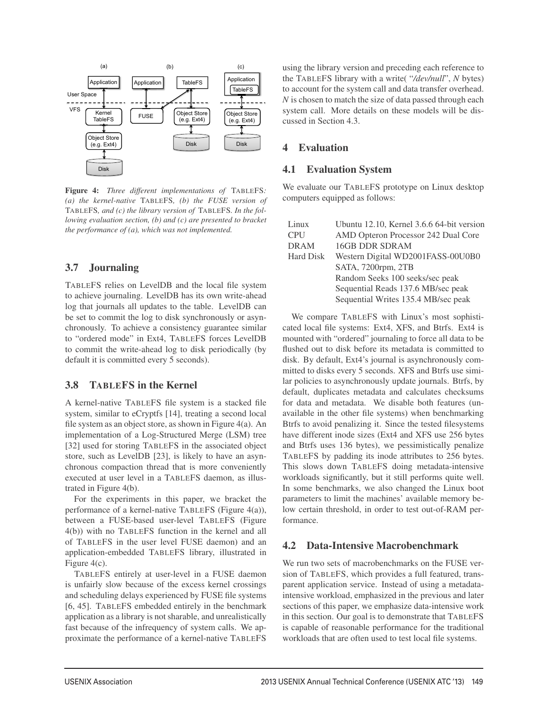

Figure 4: *Three different implementations of* TABLEFS*: (a) the kernel-native* TABLEFS*, (b) the FUSE version of* TABLEFS*, and (c) the library version of* TABLEFS*. In the following evaluation section, (b) and (c) are presented to bracket the performance of (a), which was not implemented.*

# 3.7 Journaling

TABLEFS relies on LevelDB and the local file system to achieve journaling. LevelDB has its own write-ahead log that journals all updates to the table. LevelDB can be set to commit the log to disk synchronously or asynchronously. To achieve a consistency guarantee similar to "ordered mode" in Ext4, TABLEFS forces LevelDB to commit the write-ahead log to disk periodically (by default it is committed every 5 seconds).

### 3.8 TABLEFS in the Kernel

A kernel-native TABLEFS file system is a stacked file system, similar to eCryptfs [14], treating a second local file system as an object store, as shown in Figure 4(a). An implementation of a Log-Structured Merge (LSM) tree [32] used for storing TABLEFS in the associated object store, such as LevelDB [23], is likely to have an asynchronous compaction thread that is more conveniently executed at user level in a TABLEFS daemon, as illustrated in Figure 4(b).

For the experiments in this paper, we bracket the performance of a kernel-native TABLEFS (Figure 4(a)), between a FUSE-based user-level TABLEFS (Figure 4(b)) with no TABLEFS function in the kernel and all of TABLEFS in the user level FUSE daemon) and an application-embedded TABLEFS library, illustrated in Figure 4(c).

TABLEFS entirely at user-level in a FUSE daemon is unfairly slow because of the excess kernel crossings and scheduling delays experienced by FUSE file systems [6, 45]. TABLEFS embedded entirely in the benchmark application as a library is not sharable, and unrealistically fast because of the infrequency of system calls. We approximate the performance of a kernel-native TABLEFS

using the library version and preceding each reference to the TABLEFS library with a write( "*/dev/null*", *N* bytes) to account for the system call and data transfer overhead. *N* is chosen to match the size of data passed through each system call. More details on these models will be discussed in Section 4.3.

# 4 Evaluation

#### 4.1 Evaluation System

We evaluate our TABLEFS prototype on Linux desktop computers equipped as follows:

| Linux       | Ubuntu 12.10, Kernel 3.6.6 64-bit version |
|-------------|-------------------------------------------|
| <b>CPU</b>  | AMD Opteron Processor 242 Dual Core       |
| <b>DRAM</b> | <b>16GB DDR SDRAM</b>                     |
| Hard Disk   | Western Digital WD2001FASS-00U0B0         |
|             | SATA, 7200rpm, 2TB                        |
|             | Random Seeks 100 seeks/sec peak           |
|             | Sequential Reads 137.6 MB/sec peak        |
|             | Sequential Writes 135.4 MB/sec peak       |

We compare TABLEFS with Linux's most sophisticated local file systems: Ext4, XFS, and Btrfs. Ext4 is mounted with "ordered" journaling to force all data to be flushed out to disk before its metadata is committed to disk. By default, Ext4's journal is asynchronously committed to disks every 5 seconds. XFS and Btrfs use similar policies to asynchronously update journals. Btrfs, by default, duplicates metadata and calculates checksums for data and metadata. We disable both features (unavailable in the other file systems) when benchmarking Btrfs to avoid penalizing it. Since the tested filesystems have different inode sizes (Ext4 and XFS use 256 bytes and Btrfs uses 136 bytes), we pessimistically penalize TABLEFS by padding its inode attributes to 256 bytes. This slows down TABLEFS doing metadata-intensive workloads significantly, but it still performs quite well. In some benchmarks, we also changed the Linux boot parameters to limit the machines' available memory below certain threshold, in order to test out-of-RAM performance.

# 4.2 Data-Intensive Macrobenchmark

We run two sets of macrobenchmarks on the FUSE version of TABLEFS, which provides a full featured, transparent application service. Instead of using a metadataintensive workload, emphasized in the previous and later sections of this paper, we emphasize data-intensive work in this section. Our goal is to demonstrate that TABLEFS is capable of reasonable performance for the traditional workloads that are often used to test local file systems.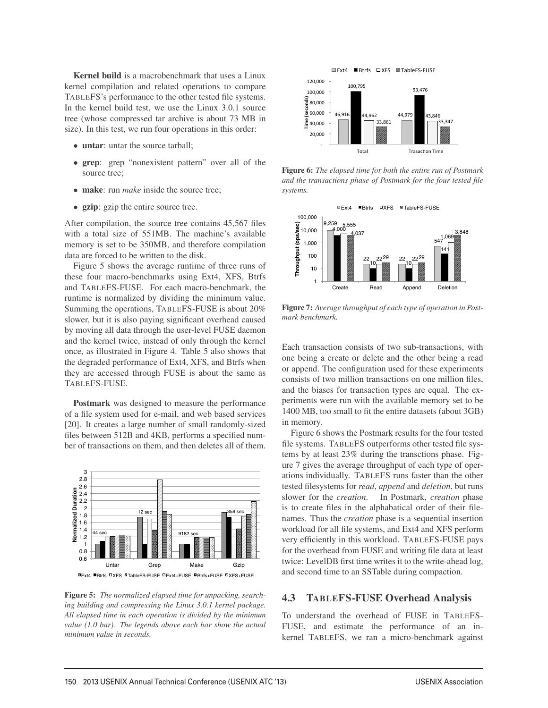Kernel build is a macrobenchmark that uses a Linux kernel compilation and related operations to compare TABLEFS's performance to the other tested file systems. In the kernel build test, we use the Linux 3.0.1 source tree (whose compressed tar archive is about 73 MB in size). In this test, we run four operations in this order:

- untar: untar the source tarball;
- grep: grep "nonexistent pattern" over all of the source tree;
- make: run *make* inside the source tree;
- gzip: gzip the entire source tree.

After compilation, the source tree contains 45,567 files with a total size of 551MB. The machine's available memory is set to be 350MB, and therefore compilation data are forced to be written to the disk.

Figure 5 shows the average runtime of three runs of these four macro-benchmarks using Ext4, XFS, Btrfs and TABLEFS-FUSE. For each macro-benchmark, the runtime is normalized by dividing the minimum value. Summing the operations, TABLEFS-FUSE is about 20% slower, but it is also paying significant overhead caused by moving all data through the user-level FUSE daemon and the kernel twice, instead of only through the kernel once, as illustrated in Figure 4. Table 5 also shows that the degraded performance of Ext4, XFS, and Btrfs when they are accessed through FUSE is about the same as TABLEFS-FUSE.

Postmark was designed to measure the performance of a file system used for e-mail, and web based services [20]. It creates a large number of small randomly-sized files between 512B and 4KB, performs a specified number of transactions on them, and then deletes all of them.



Figure 5: *The normalized elapsed time for unpacking, searching building and compressing the Linux 3.0.1 kernel package. All elapsed time in each operation is divided by the minimum value (1.0 bar). The legends above each bar show the actual minimum value in seconds.*



Figure 6: *The elapsed time for both the entire run of Postmark and the transactions phase of Postmark for the four tested file systems.*



Figure 7: *Average throughput of each type of operation in Postmark benchmark.*

Each transaction consists of two sub-transactions, with one being a create or delete and the other being a read or append. The configuration used for these experiments consists of two million transactions on one million files, and the biases for transaction types are equal. The experiments were run with the available memory set to be 1400 MB, too small to fit the entire datasets (about 3GB) in memory.

Figure 6 shows the Postmark results for the four tested file systems. TABLEFS outperforms other tested file systems by at least 23% during the transctions phase. Figure 7 gives the average throughput of each type of operations individually. TABLEFS runs faster than the other tested filesystems for *read*, *append* and *deletion*, but runs slower for the *creation*. In Postmark, *creation* phase is to create files in the alphabatical order of their filenames. Thus the *creation* phase is a sequential insertion workload for all file systems, and Ext4 and XFS perform very efficiently in this workload. TABLEFS-FUSE pays for the overhead from FUSE and writing file data at least twice: LevelDB first time writes it to the write-ahead log, and second time to an SSTable during compaction.

#### 4.3 TABLEFS-FUSE Overhead Analysis

To understand the overhead of FUSE in TABLEFS-FUSE, and estimate the performance of an inkernel TABLEFS, we ran a micro-benchmark against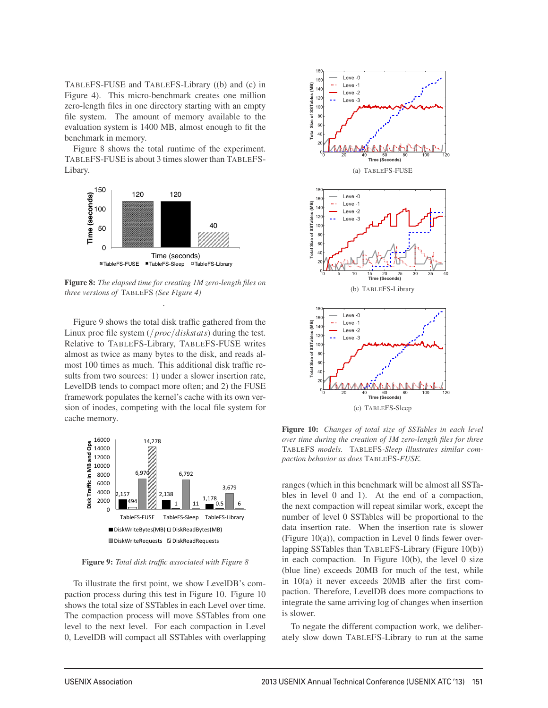TABLEFS-FUSE and TABLEFS-Library ((b) and (c) in Figure 4). This micro-benchmark creates one million zero-length files in one directory starting with an empty file system. The amount of memory available to the evaluation system is 1400 MB, almost enough to fit the benchmark in memory.

Figure 8 shows the total runtime of the experiment. TABLEFS-FUSE is about 3 times slower than TABLEFS-Libary.



Figure 8: *The elapsed time for creating 1M zero-length files on three versions of* TABLEFS *(See Figure 4)* .

Figure 9 shows the total disk traffic gathered from the Linux proc file system (/*proc*/*diskstats*) during the test. Relative to TABLEFS-Library, TABLEFS-FUSE writes almost as twice as many bytes to the disk, and reads almost 100 times as much. This additional disk traffic results from two sources: 1) under a slower insertion rate, LevelDB tends to compact more often; and 2) the FUSE framework populates the kernel's cache with its own version of inodes, competing with the local file system for cache memory.



Figure 9: *Total disk traffic associated with Figure 8*

To illustrate the first point, we show LevelDB's compaction process during this test in Figure 10. Figure 10 shows the total size of SSTables in each Level over time. The compaction process will move SSTables from one level to the next level. For each compaction in Level 0, LevelDB will compact all SSTables with overlapping



Figure 10: *Changes of total size of SSTables in each level over time during the creation of 1M zero-length files for three* TABLEFS *models.* TABLEFS*-Sleep illustrates similar compaction behavior as does* TABLEFS*-FUSE.*

ranges (which in this benchmark will be almost all SSTables in level 0 and 1). At the end of a compaction, the next compaction will repeat similar work, except the number of level 0 SSTables will be proportional to the data insertion rate. When the insertion rate is slower (Figure 10(a)), compaction in Level 0 finds fewer overlapping SSTables than TABLEFS-Library (Figure 10(b)) in each compaction. In Figure  $10(b)$ , the level 0 size (blue line) exceeds 20MB for much of the test, while in 10(a) it never exceeds 20MB after the first compaction. Therefore, LevelDB does more compactions to integrate the same arriving log of changes when insertion is slower.

To negate the different compaction work, we deliberately slow down TABLEFS-Library to run at the same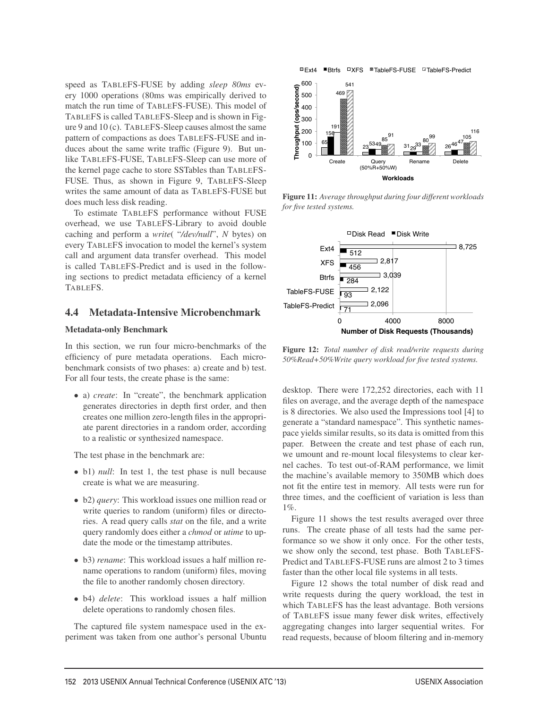speed as TABLEFS-FUSE by adding *sleep 80ms* every 1000 operations (80ms was empirically derived to match the run time of TABLEFS-FUSE). This model of TABLEFS is called TABLEFS-Sleep and is shown in Figure 9 and 10 (c). TABLEFS-Sleep causes almost the same pattern of compactions as does TABLEFS-FUSE and induces about the same write traffic (Figure 9). But unlike TABLEFS-FUSE, TABLEFS-Sleep can use more of the kernel page cache to store SSTables than TABLEFS-FUSE. Thus, as shown in Figure 9, TABLEFS-Sleep writes the same amount of data as TABLEFS-FUSE but does much less disk reading.

To estimate TABLEFS performance without FUSE overhead, we use TABLEFS-Library to avoid double caching and perform a *write*( "*/dev/null*", *N* bytes) on every TABLEFS invocation to model the kernel's system call and argument data transfer overhead. This model is called TABLEFS-Predict and is used in the following sections to predict metadata efficiency of a kernel TABLEFS.

#### 4.4 Metadata-Intensive Microbenchmark

#### Metadata-only Benchmark

In this section, we run four micro-benchmarks of the efficiency of pure metadata operations. Each microbenchmark consists of two phases: a) create and b) test. For all four tests, the create phase is the same:

• a) *create*: In "create", the benchmark application generates directories in depth first order, and then creates one million zero-length files in the appropriate parent directories in a random order, according to a realistic or synthesized namespace.

The test phase in the benchmark are:

- b1) *null*: In test 1, the test phase is null because create is what we are measuring.
- b2) *query*: This workload issues one million read or write queries to random (uniform) files or directories. A read query calls *stat* on the file, and a write query randomly does either a *chmod* or *utime* to update the mode or the timestamp attributes.
- b3) *rename*: This workload issues a half million rename operations to random (uniform) files, moving the file to another randomly chosen directory.
- b4) *delete*: This workload issues a half million delete operations to randomly chosen files.

The captured file system namespace used in the experiment was taken from one author's personal Ubuntu

**■Ext4 ■Btrfs □XFS ■TableFS-FUSE □TableFS-Predict** 



Figure 11: *Average throughput during four different workloads for five tested systems.*



Figure 12: *Total number of disk read/write requests during 50%Read+50%Write query workload for five tested systems.*

desktop. There were 172,252 directories, each with 11 files on average, and the average depth of the namespace is 8 directories. We also used the Impressions tool [4] to generate a "standard namespace". This synthetic namespace yields similar results, so its data is omitted from this paper. Between the create and test phase of each run, we umount and re-mount local filesystems to clear kernel caches. To test out-of-RAM performance, we limit the machine's available memory to 350MB which does not fit the entire test in memory. All tests were run for three times, and the coefficient of variation is less than 1%.

Figure 11 shows the test results averaged over three runs. The create phase of all tests had the same performance so we show it only once. For the other tests, we show only the second, test phase. Both TABLEFS-Predict and TABLEFS-FUSE runs are almost 2 to 3 times faster than the other local file systems in all tests.

Figure 12 shows the total number of disk read and write requests during the query workload, the test in which TABLEFS has the least advantage. Both versions of TABLEFS issue many fewer disk writes, effectively aggregating changes into larger sequential writes. For read requests, because of bloom filtering and in-memory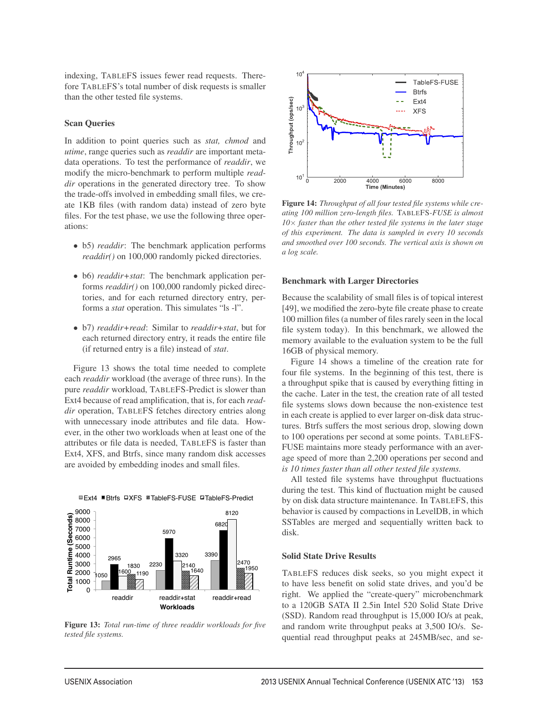indexing, TABLEFS issues fewer read requests. Therefore TABLEFS's total number of disk requests is smaller than the other tested file systems.

#### Scan Queries

In addition to point queries such as *stat, chmod* and *utime*, range queries such as *readdir* are important metadata operations. To test the performance of *readdir*, we modify the micro-benchmark to perform multiple *readdir* operations in the generated directory tree. To show the trade-offs involved in embedding small files, we create 1KB files (with random data) instead of zero byte files. For the test phase, we use the following three operations:

- b5) *readdir*: The benchmark application performs *readdir()* on 100,000 randomly picked directories.
- b6) *readdir+stat*: The benchmark application performs *readdir()* on 100,000 randomly picked directories, and for each returned directory entry, performs a *stat* operation. This simulates "ls -l".
- b7) *readdir+read*: Similar to *readdir+stat*, but for each returned directory entry, it reads the entire file (if returned entry is a file) instead of *stat*.

Figure 13 shows the total time needed to complete each *readdir* workload (the average of three runs). In the pure *readdir* workload, TABLEFS-Predict is slower than Ext4 because of read amplification, that is, for each *readdir* operation, TABLEFS fetches directory entries along with unnecessary inode attributes and file data. However, in the other two workloads when at least one of the attributes or file data is needed, TABLEFS is faster than Ext4, XFS, and Btrfs, since many random disk accesses are avoided by embedding inodes and small files.



■ Ext4 ■ Btrfs □ XFS ■ TableFS-FUSE □ TableFS-Predict

Figure 13: *Total run-time of three readdir workloads for five tested file systems.*



Figure 14: *Throughput of all four tested file systems while creating 100 million zero-length files.* TABLEFS*-FUSE is almost 10*× *faster than the other tested file systems in the later stage of this experiment. The data is sampled in every 10 seconds and smoothed over 100 seconds. The vertical axis is shown on a log scale.*

#### Benchmark with Larger Directories

Because the scalability of small files is of topical interest [49], we modified the zero-byte file create phase to create 100 million files (a number of files rarely seen in the local file system today). In this benchmark, we allowed the memory available to the evaluation system to be the full 16GB of physical memory.

Figure 14 shows a timeline of the creation rate for four file systems. In the beginning of this test, there is a throughput spike that is caused by everything fitting in the cache. Later in the test, the creation rate of all tested file systems slows down because the non-existence test in each create is applied to ever larger on-disk data structures. Btrfs suffers the most serious drop, slowing down to 100 operations per second at some points. TABLEFS-FUSE maintains more steady performance with an average speed of more than 2,200 operations per second and *is 10 times faster than all other tested file systems.*

All tested file systems have throughput fluctuations during the test. This kind of fluctuation might be caused by on disk data structure maintenance. In TABLEFS, this behavior is caused by compactions in LevelDB, in which SSTables are merged and sequentially written back to disk.

#### Solid State Drive Results

9

TABLEFS reduces disk seeks, so you might expect it to have less benefit on solid state drives, and you'd be right. We applied the "create-query" microbenchmark to a 120GB SATA II 2.5in Intel 520 Solid State Drive (SSD). Random read throughput is 15,000 IO/s at peak, and random write throughput peaks at 3,500 IO/s. Sequential read throughput peaks at 245MB/sec, and se-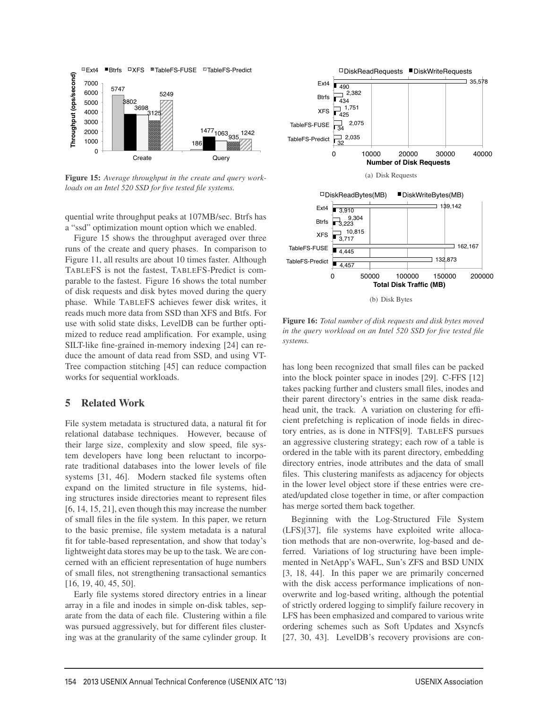

Figure 15: *Average throughput in the create and query workloads on an Intel 520 SSD for five tested file systems.*

quential write throughput peaks at 107MB/sec. Btrfs has a "ssd" optimization mount option which we enabled.

Figure 15 shows the throughput averaged over three runs of the create and query phases. In comparison to Figure 11, all results are about 10 times faster. Although TABLEFS is not the fastest, TABLEFS-Predict is comparable to the fastest. Figure 16 shows the total number of disk requests and disk bytes moved during the query phase. While TABLEFS achieves fewer disk writes, it reads much more data from SSD than XFS and Btfs. For use with solid state disks, LevelDB can be further optimized to reduce read amplification. For example, using SILT-like fine-grained in-memory indexing [24] can reduce the amount of data read from SSD, and using VT-Tree compaction stitching [45] can reduce compaction works for sequential workloads.

#### 5 Related Work

File system metadata is structured data, a natural fit for relational database techniques. However, because of their large size, complexity and slow speed, file system developers have long been reluctant to incorporate traditional databases into the lower levels of file systems [31, 46]. Modern stacked file systems often expand on the limited structure in file systems, hiding structures inside directories meant to represent files [6, 14, 15, 21], even though this may increase the number of small files in the file system. In this paper, we return to the basic premise, file system metadata is a natural fit for table-based representation, and show that today's lightweight data stores may be up to the task. We are concerned with an efficient representation of huge numbers of small files, not strengthening transactional semantics [16, 19, 40, 45, 50].

Early file systems stored directory entries in a linear array in a file and inodes in simple on-disk tables, separate from the data of each file. Clustering within a file was pursued aggressively, but for different files clustering was at the granularity of the same cylinder group. It



Figure 16: *Total number of disk requests and disk bytes moved in the query workload on an Intel 520 SSD for five tested file systems.*

has long been recognized that small files can be packed into the block pointer space in inodes [29]. C-FFS [12] takes packing further and clusters small files, inodes and their parent directory's entries in the same disk readahead unit, the track. A variation on clustering for efficient prefetching is replication of inode fields in directory entries, as is done in NTFS[9]. TABLEFS pursues an aggressive clustering strategy; each row of a table is ordered in the table with its parent directory, embedding directory entries, inode attributes and the data of small files. This clustering manifests as adjacency for objects in the lower level object store if these entries were created/updated close together in time, or after compaction has merge sorted them back together.

Beginning with the Log-Structured File System (LFS)[37], file systems have exploited write allocation methods that are non-overwrite, log-based and deferred. Variations of log structuring have been implemented in NetApp's WAFL, Sun's ZFS and BSD UNIX [3, 18, 44]. In this paper we are primarily concerned with the disk access performance implications of nonoverwrite and log-based writing, although the potential of strictly ordered logging to simplify failure recovery in LFS has been emphasized and compared to various write ordering schemes such as Soft Updates and Xsyncfs [27, 30, 43]. LevelDB's recovery provisions are con-

 $\overline{a}$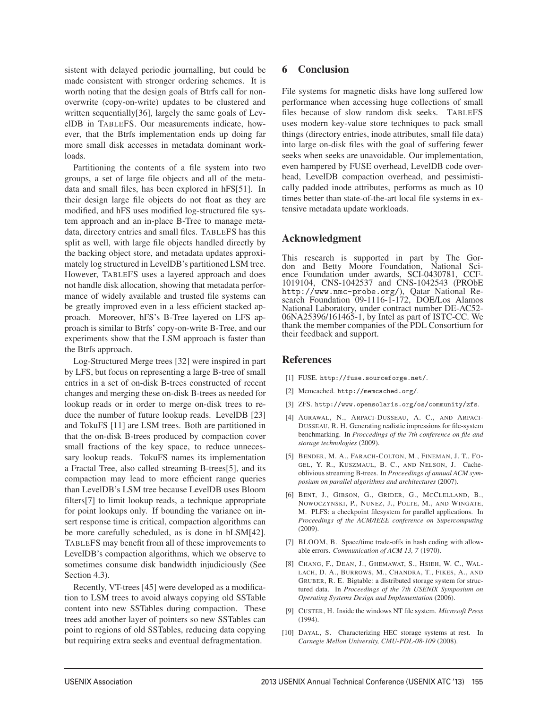sistent with delayed periodic journalling, but could be made consistent with stronger ordering schemes. It is worth noting that the design goals of Btrfs call for nonoverwrite (copy-on-write) updates to be clustered and written sequentially[36], largely the same goals of LevelDB in TABLEFS. Our measurements indicate, however, that the Btrfs implementation ends up doing far more small disk accesses in metadata dominant workloads.

Partitioning the contents of a file system into two groups, a set of large file objects and all of the metadata and small files, has been explored in hFS[51]. In their design large file objects do not float as they are modified, and hFS uses modified log-structured file system approach and an in-place B-Tree to manage metadata, directory entries and small files. TABLEFS has this split as well, with large file objects handled directly by the backing object store, and metadata updates approximately log structured in LevelDB's partitioned LSM tree. However, TABLEFS uses a layered approach and does not handle disk allocation, showing that metadata performance of widely available and trusted file systems can be greatly improved even in a less efficient stacked approach. Moreover, hFS's B-Tree layered on LFS approach is similar to Btrfs' copy-on-write B-Tree, and our experiments show that the LSM approach is faster than the Btrfs approach.

Log-Structured Merge trees [32] were inspired in part by LFS, but focus on representing a large B-tree of small entries in a set of on-disk B-trees constructed of recent changes and merging these on-disk B-trees as needed for lookup reads or in order to merge on-disk trees to reduce the number of future lookup reads. LevelDB [23] and TokuFS [11] are LSM trees. Both are partitioned in that the on-disk B-trees produced by compaction cover small fractions of the key space, to reduce unnecessary lookup reads. TokuFS names its implementation a Fractal Tree, also called streaming B-trees[5], and its compaction may lead to more efficient range queries than LevelDB's LSM tree because LevelDB uses Bloom filters[7] to limit lookup reads, a technique appropriate for point lookups only. If bounding the variance on insert response time is critical, compaction algorithms can be more carefully scheduled, as is done in bLSM[42]. TABLEFS may benefit from all of these improvements to LevelDB's compaction algorithms, which we observe to sometimes consume disk bandwidth injudiciously (See Section 4.3).

Recently, VT-trees [45] were developed as a modification to LSM trees to avoid always copying old SSTable content into new SSTables during compaction. These trees add another layer of pointers so new SSTables can point to regions of old SSTables, reducing data copying but requiring extra seeks and eventual defragmentation.

#### 6 Conclusion

File systems for magnetic disks have long suffered low performance when accessing huge collections of small files because of slow random disk seeks. TABLEFS uses modern key-value store techniques to pack small things (directory entries, inode attributes, small file data) into large on-disk files with the goal of suffering fewer seeks when seeks are unavoidable. Our implementation, even hampered by FUSE overhead, LevelDB code overhead, LevelDB compaction overhead, and pessimistically padded inode attributes, performs as much as 10 times better than state-of-the-art local file systems in extensive metadata update workloads.

### Acknowledgment

This research is supported in part by The Gordon and Betty Moore Foundation, National Science Foundation under awards, SCI-0430781, CCF-1019104, CNS-1042537 and CNS-1042543 (PRObE http://www.nmc-probe.org/), Qatar National Research Foundation 09-1116-1-172, DOE/Los Alamos National Laboratory, under contract number DE-AC52- 06NA25396/161465-1, by Intel as part of ISTC-CC. We thank the member companies of the PDL Consortium for their feedback and support.

#### References

- [1] FUSE. http://fuse.sourceforge.net/.
- [2] Memcached. http://memcached.org/.
- [3] ZFS. http://www.opensolaris.org/os/community/zfs.
- [4] AGRAWAL, N., ARPACI-DUSSEAU, A. C., AND ARPACI-DUSSEAU, R. H. Generating realistic impressions for file-system benchmarking. In *Proccedings of the 7th conference on file and storage technologies* (2009).
- [5] BENDER, M. A., FARACH-COLTON, M., FINEMAN, J. T., FO-GEL, Y. R., KUSZMAUL, B. C., AND NELSON, J. Cacheoblivious streaming B-trees. In *Proceedings of annual ACM symposium on parallel algorithms and architectures* (2007).
- [6] BENT, J., GIBSON, G., GRIDER, G., MCCLELLAND, B., NOWOCZYNSKI, P., NUNEZ, J., POLTE, M., AND WINGATE, M. PLFS: a checkpoint filesystem for parallel applications. In *Proceedings of the ACM/IEEE conference on Supercomputing* (2009).
- [7] BLOOM, B. Space/time trade-offs in hash coding with allowable errors. *Communication of ACM 13, 7* (1970).
- [8] CHANG, F., DEAN, J., GHEMAWAT, S., HSIEH, W. C., WAL-LACH, D. A., BURROWS, M., CHANDRA, T., FIKES, A., AND GRUBER, R. E. Bigtable: a distributed storage system for structured data. In *Proceedings of the 7th USENIX Symposium on Operating Systems Design and Implementation* (2006).
- [9] CUSTER, H. Inside the windows NT file system. *Microsoft Press* (1994).
- [10] DAYAL, S. Characterizing HEC storage systems at rest. In *Carnegie Mellon University, CMU-PDL-08-109* (2008).